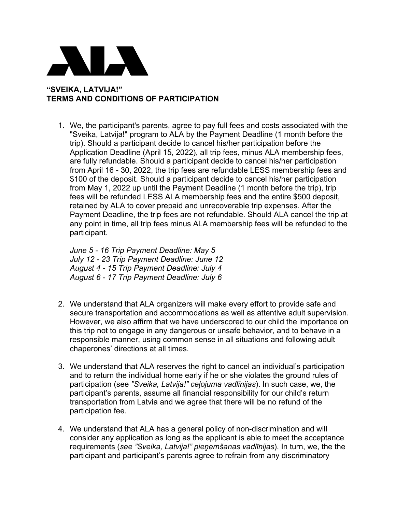

## **"SVEIKA, LATVIJA!" TERMS AND CONDITIONS OF PARTICIPATION**

1. We, the participant's parents, agree to pay full fees and costs associated with the "Sveika, Latvija!" program to ALA by the Payment Deadline (1 month before the trip). Should a participant decide to cancel his/her participation before the Application Deadline (April 15, 2022), all trip fees, minus ALA membership fees, are fully refundable. Should a participant decide to cancel his/her participation from April 16 - 30, 2022, the trip fees are refundable LESS membership fees and \$100 of the deposit. Should a participant decide to cancel his/her participation from May 1, 2022 up until the Payment Deadline (1 month before the trip), trip fees will be refunded LESS ALA membership fees and the entire \$500 deposit, retained by ALA to cover prepaid and unrecoverable trip expenses. After the Payment Deadline, the trip fees are not refundable. Should ALA cancel the trip at any point in time, all trip fees minus ALA membership fees will be refunded to the participant.

*June 5 - 16 Trip Payment Deadline: May 5 July 12 - 23 Trip Payment Deadline: June 12 August 4 - 15 Trip Payment Deadline: July 4 August 6 - 17 Trip Payment Deadline: July 6*

- 2. We understand that ALA organizers will make every effort to provide safe and secure transportation and accommodations as well as attentive adult supervision. However, we also affirm that we have underscored to our child the importance on this trip not to engage in any dangerous or unsafe behavior, and to behave in a responsible manner, using common sense in all situations and following adult chaperones' directions at all times.
- 3. We understand that ALA reserves the right to cancel an individual's participation and to return the individual home early if he or she violates the ground rules of participation (see *"Sveika, Latvija!" ceļojuma vadlīnijas*). In such case, we, the participant's parents, assume all financial responsibility for our child's return transportation from Latvia and we agree that there will be no refund of the participation fee.
- 4. We understand that ALA has a general policy of non-discrimination and will consider any application as long as the applicant is able to meet the acceptance requirements (*see "Sveika, Latvija!" pieņemšanas vadlīnijas*). In turn, we, the the participant and participant's parents agree to refrain from any discriminatory